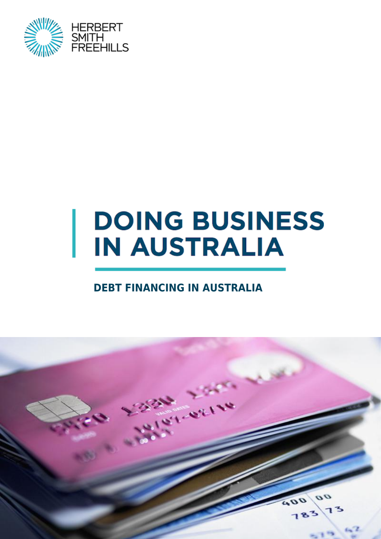

# **DOING BUSINESS IN AUSTRALIA**

#### **DEBT FINANCING IN AUSTRALIA**

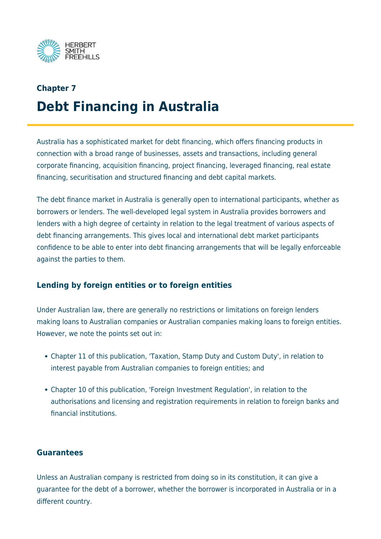

## **Chapter 7 Debt Financing in Australia**

Australia has a sophisticated market for debt financing, which offers financing products in connection with a broad range of businesses, assets and transactions, including general corporate financing, acquisition financing, project financing, leveraged financing, real estate financing, securitisation and structured financing and debt capital markets.

The debt finance market in Australia is generally open to international participants, whether as borrowers or lenders. The well-developed legal system in Australia provides borrowers and lenders with a high degree of certainty in relation to the legal treatment of various aspects of debt financing arrangements. This gives local and international debt market participants confidence to be able to enter into debt financing arrangements that will be legally enforceable against the parties to them.

#### **Lending by foreign entities or to foreign entities**

Under Australian law, there are generally no restrictions or limitations on foreign lenders making loans to Australian companies or Australian companies making loans to foreign entities. However, we note the points set out in:

- Chapter 11 of this publication, 'Taxation, Stamp Duty and Custom Duty', in relation to interest payable from Australian companies to foreign entities; and
- Chapter 10 of this publication, 'Foreign Investment Regulation', in relation to the authorisations and licensing and registration requirements in relation to foreign banks and financial institutions.

#### **Guarantees**

Unless an Australian company is restricted from doing so in its constitution, it can give a guarantee for the debt of a borrower, whether the borrower is incorporated in Australia or in a different country.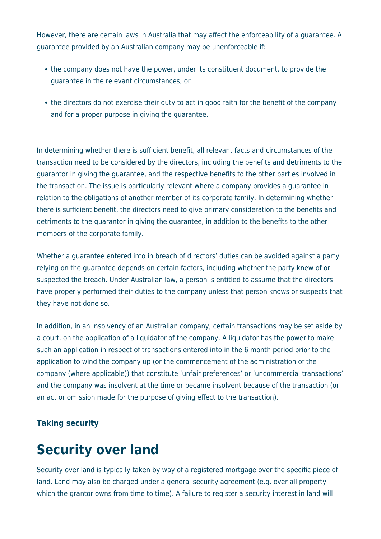However, there are certain laws in Australia that may affect the enforceability of a guarantee. A guarantee provided by an Australian company may be unenforceable if:

- the company does not have the power, under its constituent document, to provide the guarantee in the relevant circumstances; or
- the directors do not exercise their duty to act in good faith for the benefit of the company and for a proper purpose in giving the guarantee.

In determining whether there is sufficient benefit, all relevant facts and circumstances of the transaction need to be considered by the directors, including the benefits and detriments to the guarantor in giving the guarantee, and the respective benefits to the other parties involved in the transaction. The issue is particularly relevant where a company provides a guarantee in relation to the obligations of another member of its corporate family. In determining whether there is sufficient benefit, the directors need to give primary consideration to the benefits and detriments to the guarantor in giving the guarantee, in addition to the benefits to the other members of the corporate family.

Whether a guarantee entered into in breach of directors' duties can be avoided against a party relying on the guarantee depends on certain factors, including whether the party knew of or suspected the breach. Under Australian law, a person is entitled to assume that the directors have properly performed their duties to the company unless that person knows or suspects that they have not done so.

In addition, in an insolvency of an Australian company, certain transactions may be set aside by a court, on the application of a liquidator of the company. A liquidator has the power to make such an application in respect of transactions entered into in the 6 month period prior to the application to wind the company up (or the commencement of the administration of the company (where applicable)) that constitute 'unfair preferences' or 'uncommercial transactions' and the company was insolvent at the time or became insolvent because of the transaction (or an act or omission made for the purpose of giving effect to the transaction).

#### **Taking security**

## **Security over land**

Security over land is typically taken by way of a registered mortgage over the specific piece of land. Land may also be charged under a general security agreement (e.g. over all property which the grantor owns from time to time). A failure to register a security interest in land will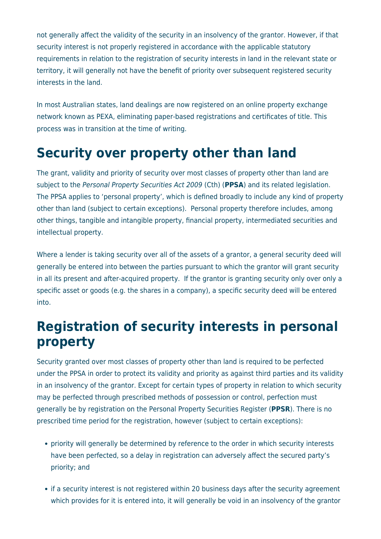not generally affect the validity of the security in an insolvency of the grantor. However, if that security interest is not properly registered in accordance with the applicable statutory requirements in relation to the registration of security interests in land in the relevant state or territory, it will generally not have the benefit of priority over subsequent registered security interests in the land.

In most Australian states, land dealings are now registered on an online property exchange network known as PEXA, eliminating paper-based registrations and certificates of title. This process was in transition at the time of writing.

### **Security over property other than land**

The grant, validity and priority of security over most classes of property other than land are subject to the Personal Property Securities Act 2009 (Cth) (**PPSA**) and its related legislation. The PPSA applies to 'personal property', which is defined broadly to include any kind of property other than land (subject to certain exceptions). Personal property therefore includes, among other things, tangible and intangible property, financial property, intermediated securities and intellectual property.

Where a lender is taking security over all of the assets of a grantor, a general security deed will generally be entered into between the parties pursuant to which the grantor will grant security in all its present and after-acquired property. If the grantor is granting security only over only a specific asset or goods (e.g. the shares in a company), a specific security deed will be entered into.

### **Registration of security interests in personal property**

Security granted over most classes of property other than land is required to be perfected under the PPSA in order to protect its validity and priority as against third parties and its validity in an insolvency of the grantor. Except for certain types of property in relation to which security may be perfected through prescribed methods of possession or control, perfection must generally be by registration on the Personal Property Securities Register (**PPSR**). There is no prescribed time period for the registration, however (subject to certain exceptions):

- priority will generally be determined by reference to the order in which security interests have been perfected, so a delay in registration can adversely affect the secured party's priority; and
- if a security interest is not registered within 20 business days after the security agreement which provides for it is entered into, it will generally be void in an insolvency of the grantor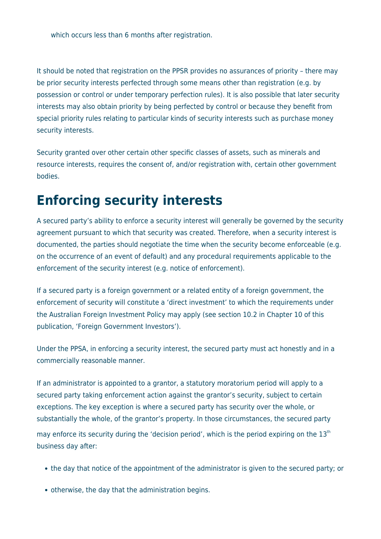which occurs less than 6 months after registration.

It should be noted that registration on the PPSR provides no assurances of priority – there may be prior security interests perfected through some means other than registration (e.g. by possession or control or under temporary perfection rules). It is also possible that later security interests may also obtain priority by being perfected by control or because they benefit from special priority rules relating to particular kinds of security interests such as purchase money security interests.

Security granted over other certain other specific classes of assets, such as minerals and resource interests, requires the consent of, and/or registration with, certain other government bodies.

### **Enforcing security interests**

A secured party's ability to enforce a security interest will generally be governed by the security agreement pursuant to which that security was created. Therefore, when a security interest is documented, the parties should negotiate the time when the security become enforceable (e.g. on the occurrence of an event of default) and any procedural requirements applicable to the enforcement of the security interest (e.g. notice of enforcement).

If a secured party is a foreign government or a related entity of a foreign government, the enforcement of security will constitute a 'direct investment' to which the requirements under the Australian Foreign Investment Policy may apply (see section 10.2 in Chapter 10 of this publication, 'Foreign Government Investors').

Under the PPSA, in enforcing a security interest, the secured party must act honestly and in a commercially reasonable manner.

If an administrator is appointed to a grantor, a statutory moratorium period will apply to a secured party taking enforcement action against the grantor's security, subject to certain exceptions. The key exception is where a secured party has security over the whole, or substantially the whole, of the grantor's property. In those circumstances, the secured party may enforce its security during the 'decision period', which is the period expiring on the  $13<sup>th</sup>$ business day after:

- the day that notice of the appointment of the administrator is given to the secured party; or
- otherwise, the day that the administration begins.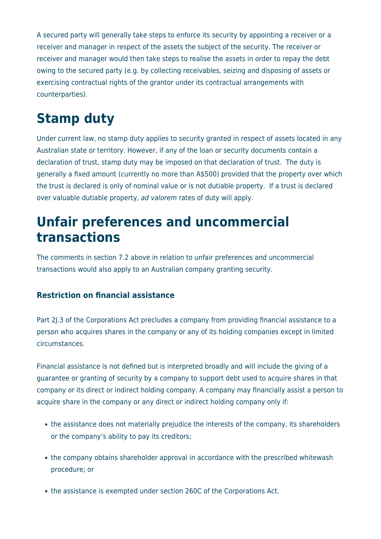A secured party will generally take steps to enforce its security by appointing a receiver or a receiver and manager in respect of the assets the subject of the security. The receiver or receiver and manager would then take steps to realise the assets in order to repay the debt owing to the secured party (e.g. by collecting receivables, seizing and disposing of assets or exercising contractual rights of the grantor under its contractual arrangements with counterparties).

# **Stamp duty**

Under current law, no stamp duty applies to security granted in respect of assets located in any Australian state or territory. However, if any of the loan or security documents contain a declaration of trust, stamp duty may be imposed on that declaration of trust. The duty is generally a fixed amount (currently no more than A\$500) provided that the property over which the trust is declared is only of nominal value or is not dutiable property. If a trust is declared over valuable dutiable property, ad valorem rates of duty will apply.

### **Unfair preferences and uncommercial transactions**

The comments in section 7.2 above in relation to unfair preferences and uncommercial transactions would also apply to an Australian company granting security.

#### **Restriction on financial assistance**

Part 2J.3 of the Corporations Act precludes a company from providing financial assistance to a person who acquires shares in the company or any of its holding companies except in limited circumstances.

Financial assistance is not defined but is interpreted broadly and will include the giving of a guarantee or granting of security by a company to support debt used to acquire shares in that company or its direct or indirect holding company. A company may financially assist a person to acquire share in the company or any direct or indirect holding company only if:

- the assistance does not materially prejudice the interests of the company, its shareholders or the company's ability to pay its creditors;
- the company obtains shareholder approval in accordance with the prescribed whitewash procedure; or
- the assistance is exempted under section 260C of the Corporations Act.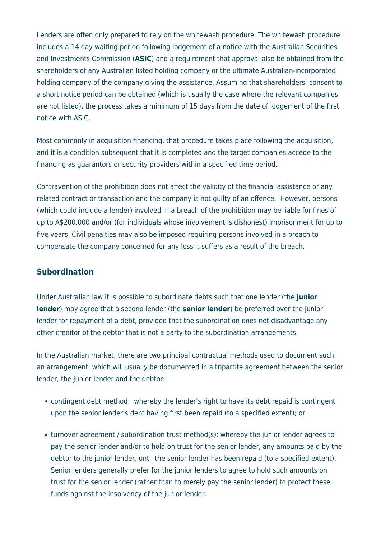Lenders are often only prepared to rely on the whitewash procedure. The whitewash procedure includes a 14 day waiting period following lodgement of a notice with the Australian Securities and Investments Commission (**ASIC**) and a requirement that approval also be obtained from the shareholders of any Australian listed holding company or the ultimate Australian-incorporated holding company of the company giving the assistance. Assuming that shareholders' consent to a short notice period can be obtained (which is usually the case where the relevant companies are not listed), the process takes a minimum of 15 days from the date of lodgement of the first notice with ASIC.

Most commonly in acquisition financing, that procedure takes place following the acquisition, and it is a condition subsequent that it is completed and the target companies accede to the financing as guarantors or security providers within a specified time period.

Contravention of the prohibition does not affect the validity of the financial assistance or any related contract or transaction and the company is not guilty of an offence. However, persons (which could include a lender) involved in a breach of the prohibition may be liable for fines of up to A\$200,000 and/or (for individuals whose involvement is dishonest) imprisonment for up to five years. Civil penalties may also be imposed requiring persons involved in a breach to compensate the company concerned for any loss it suffers as a result of the breach.

#### **Subordination**

Under Australian law it is possible to subordinate debts such that one lender (the **junior lender**) may agree that a second lender (the **senior lender**) be preferred over the junior lender for repayment of a debt, provided that the subordination does not disadvantage any other creditor of the debtor that is not a party to the subordination arrangements.

In the Australian market, there are two principal contractual methods used to document such an arrangement, which will usually be documented in a tripartite agreement between the senior lender, the junior lender and the debtor:

- contingent debt method: whereby the lender's right to have its debt repaid is contingent upon the senior lender's debt having first been repaid (to a specified extent); or
- turnover agreement / subordination trust method(s): whereby the junior lender agrees to pay the senior lender and/or to hold on trust for the senior lender, any amounts paid by the debtor to the junior lender, until the senior lender has been repaid (to a specified extent). Senior lenders generally prefer for the junior lenders to agree to hold such amounts on trust for the senior lender (rather than to merely pay the senior lender) to protect these funds against the insolvency of the junior lender.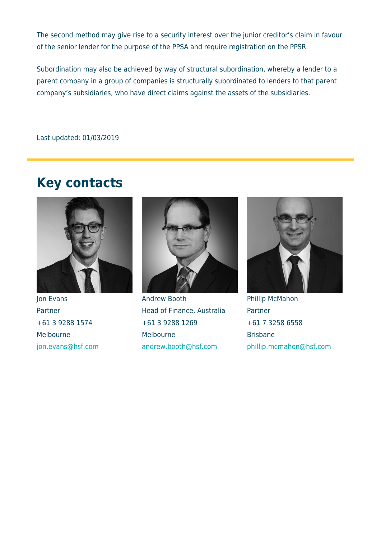The second method may give rise to a security interest over the junior creditor's claim in favour of the senior lender for the purpose of the PPSA and require registration on the PPSR.

Subordination may also be achieved by way of structural subordination, whereby a lender to a parent company in a group of companies is structurally subordinated to lenders to that parent company's subsidiaries, who have direct claims against the assets of the subsidiaries.

Last updated: 01/03/2019

#### **Key contacts**



Jon Evans **Partner** +61 3 9288 1574 Melbourne [jon.evans@hsf.com](mailto:jon.evans@hsf.com)



Andrew Booth Head of Finance, Australia +61 3 9288 1269 Melbourne [andrew.booth@hsf.com](mailto:andrew.booth@hsf.com)



Phillip McMahon Partner +61 7 3258 6558 Brisbane [phillip.mcmahon@hsf.com](mailto:phillip.mcmahon@hsf.com)